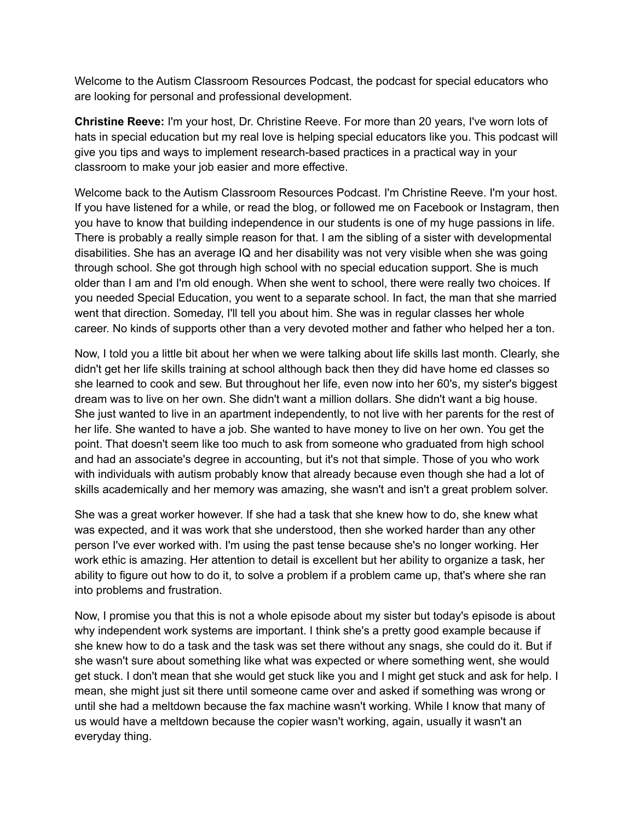Welcome to the Autism Classroom Resources Podcast, the podcast for special educators who are looking for personal and professional development.

**Christine Reeve:** I'm your host, Dr. Christine Reeve. For more than 20 years, I've worn lots of hats in special education but my real love is helping special educators like you. This podcast will give you tips and ways to implement research-based practices in a practical way in your classroom to make your job easier and more effective.

Welcome back to the Autism Classroom Resources Podcast. I'm Christine Reeve. I'm your host. If you have listened for a while, or read the blog, or followed me on Facebook or Instagram, then you have to know that building independence in our students is one of my huge passions in life. There is probably a really simple reason for that. I am the sibling of a sister with developmental disabilities. She has an average IQ and her disability was not very visible when she was going through school. She got through high school with no special education support. She is much older than I am and I'm old enough. When she went to school, there were really two choices. If you needed Special Education, you went to a separate school. In fact, the man that she married went that direction. Someday, I'll tell you about him. She was in regular classes her whole career. No kinds of supports other than a very devoted mother and father who helped her a ton.

Now, I told you a little bit about her when we were talking about life skills last month. Clearly, she didn't get her life skills training at school although back then they did have home ed classes so she learned to cook and sew. But throughout her life, even now into her 60's, my sister's biggest dream was to live on her own. She didn't want a million dollars. She didn't want a big house. She just wanted to live in an apartment independently, to not live with her parents for the rest of her life. She wanted to have a job. She wanted to have money to live on her own. You get the point. That doesn't seem like too much to ask from someone who graduated from high school and had an associate's degree in accounting, but it's not that simple. Those of you who work with individuals with autism probably know that already because even though she had a lot of skills academically and her memory was amazing, she wasn't and isn't a great problem solver.

She was a great worker however. If she had a task that she knew how to do, she knew what was expected, and it was work that she understood, then she worked harder than any other person I've ever worked with. I'm using the past tense because she's no longer working. Her work ethic is amazing. Her attention to detail is excellent but her ability to organize a task, her ability to figure out how to do it, to solve a problem if a problem came up, that's where she ran into problems and frustration.

Now, I promise you that this is not a whole episode about my sister but today's episode is about why independent work systems are important. I think she's a pretty good example because if she knew how to do a task and the task was set there without any snags, she could do it. But if she wasn't sure about something like what was expected or where something went, she would get stuck. I don't mean that she would get stuck like you and I might get stuck and ask for help. I mean, she might just sit there until someone came over and asked if something was wrong or until she had a meltdown because the fax machine wasn't working. While I know that many of us would have a meltdown because the copier wasn't working, again, usually it wasn't an everyday thing.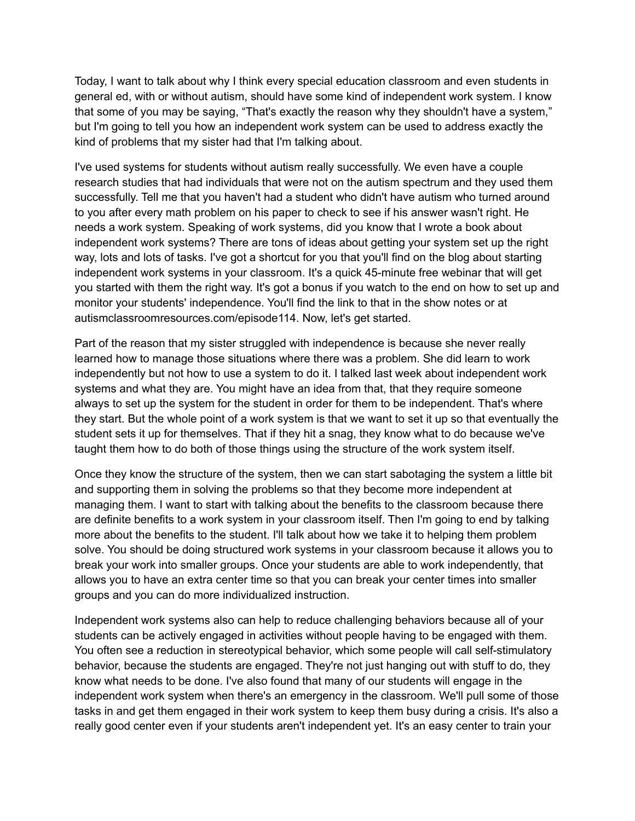Today, I want to talk about why I think every special education classroom and even students in general ed, with or without autism, should have some kind of independent work system. I know that some of you may be saying, "That's exactly the reason why they shouldn't have a system," but I'm going to tell you how an independent work system can be used to address exactly the kind of problems that my sister had that I'm talking about.

I've used systems for students without autism really successfully. We even have a couple research studies that had individuals that were not on the autism spectrum and they used them successfully. Tell me that you haven't had a student who didn't have autism who turned around to you after every math problem on his paper to check to see if his answer wasn't right. He needs a work system. Speaking of work systems, did you know that I wrote a book about independent work systems? There are tons of ideas about getting your system set up the right way, lots and lots of tasks. I've got a shortcut for you that you'll find on the blog about starting independent work systems in your classroom. It's a quick 45-minute free webinar that will get you started with them the right way. It's got a bonus if you watch to the end on how to set up and monitor your students' independence. You'll find the link to that in the show notes or at autismclassroomresources.com/episode114. Now, let's get started.

Part of the reason that my sister struggled with independence is because she never really learned how to manage those situations where there was a problem. She did learn to work independently but not how to use a system to do it. I talked last week about independent work systems and what they are. You might have an idea from that, that they require someone always to set up the system for the student in order for them to be independent. That's where they start. But the whole point of a work system is that we want to set it up so that eventually the student sets it up for themselves. That if they hit a snag, they know what to do because we've taught them how to do both of those things using the structure of the work system itself.

Once they know the structure of the system, then we can start sabotaging the system a little bit and supporting them in solving the problems so that they become more independent at managing them. I want to start with talking about the benefits to the classroom because there are definite benefits to a work system in your classroom itself. Then I'm going to end by talking more about the benefits to the student. I'll talk about how we take it to helping them problem solve. You should be doing structured work systems in your classroom because it allows you to break your work into smaller groups. Once your students are able to work independently, that allows you to have an extra center time so that you can break your center times into smaller groups and you can do more individualized instruction.

Independent work systems also can help to reduce challenging behaviors because all of your students can be actively engaged in activities without people having to be engaged with them. You often see a reduction in stereotypical behavior, which some people will call self-stimulatory behavior, because the students are engaged. They're not just hanging out with stuff to do, they know what needs to be done. I've also found that many of our students will engage in the independent work system when there's an emergency in the classroom. We'll pull some of those tasks in and get them engaged in their work system to keep them busy during a crisis. It's also a really good center even if your students aren't independent yet. It's an easy center to train your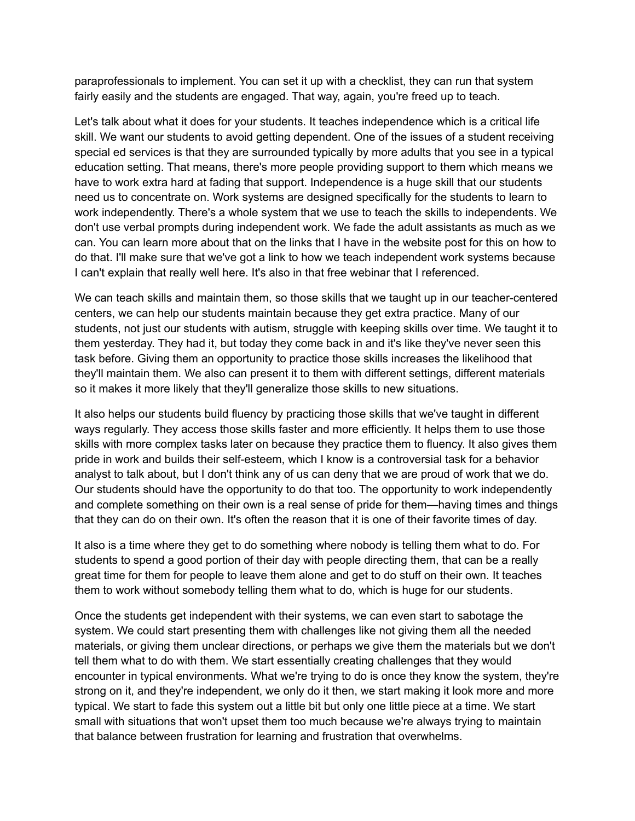paraprofessionals to implement. You can set it up with a checklist, they can run that system fairly easily and the students are engaged. That way, again, you're freed up to teach.

Let's talk about what it does for your students. It teaches independence which is a critical life skill. We want our students to avoid getting dependent. One of the issues of a student receiving special ed services is that they are surrounded typically by more adults that you see in a typical education setting. That means, there's more people providing support to them which means we have to work extra hard at fading that support. Independence is a huge skill that our students need us to concentrate on. Work systems are designed specifically for the students to learn to work independently. There's a whole system that we use to teach the skills to independents. We don't use verbal prompts during independent work. We fade the adult assistants as much as we can. You can learn more about that on the links that I have in the website post for this on how to do that. I'll make sure that we've got a link to how we teach independent work systems because I can't explain that really well here. It's also in that free webinar that I referenced.

We can teach skills and maintain them, so those skills that we taught up in our teacher-centered centers, we can help our students maintain because they get extra practice. Many of our students, not just our students with autism, struggle with keeping skills over time. We taught it to them yesterday. They had it, but today they come back in and it's like they've never seen this task before. Giving them an opportunity to practice those skills increases the likelihood that they'll maintain them. We also can present it to them with different settings, different materials so it makes it more likely that they'll generalize those skills to new situations.

It also helps our students build fluency by practicing those skills that we've taught in different ways regularly. They access those skills faster and more efficiently. It helps them to use those skills with more complex tasks later on because they practice them to fluency. It also gives them pride in work and builds their self-esteem, which I know is a controversial task for a behavior analyst to talk about, but I don't think any of us can deny that we are proud of work that we do. Our students should have the opportunity to do that too. The opportunity to work independently and complete something on their own is a real sense of pride for them—having times and things that they can do on their own. It's often the reason that it is one of their favorite times of day.

It also is a time where they get to do something where nobody is telling them what to do. For students to spend a good portion of their day with people directing them, that can be a really great time for them for people to leave them alone and get to do stuff on their own. It teaches them to work without somebody telling them what to do, which is huge for our students.

Once the students get independent with their systems, we can even start to sabotage the system. We could start presenting them with challenges like not giving them all the needed materials, or giving them unclear directions, or perhaps we give them the materials but we don't tell them what to do with them. We start essentially creating challenges that they would encounter in typical environments. What we're trying to do is once they know the system, they're strong on it, and they're independent, we only do it then, we start making it look more and more typical. We start to fade this system out a little bit but only one little piece at a time. We start small with situations that won't upset them too much because we're always trying to maintain that balance between frustration for learning and frustration that overwhelms.